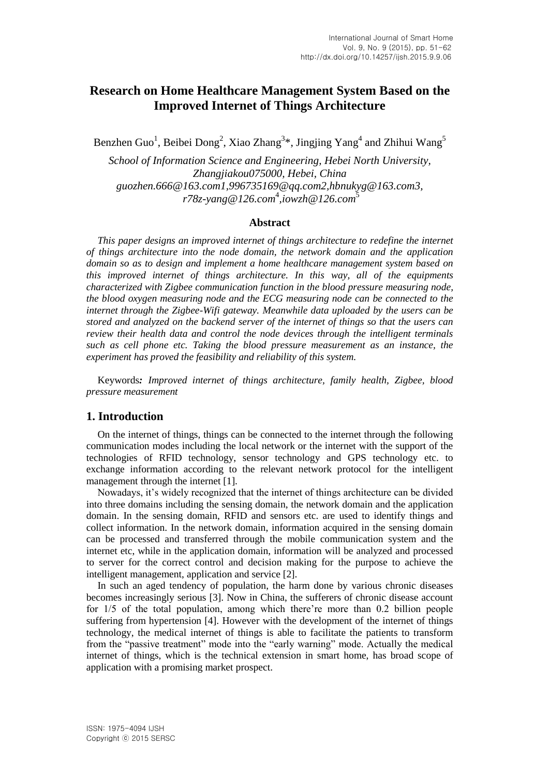# **Research on Home Healthcare Management System Based on the Improved Internet of Things Architecture**

Benzhen Guo<sup>1</sup>, Beibei Dong<sup>2</sup>, Xiao Zhang<sup>3\*</sup>, Jingjing Yang<sup>4</sup> and Zhihui Wang<sup>5</sup>

*School of Information Science and Engineering, Hebei North University, Zhangjiakou075000, Hebei, China [guozhen.666@163.com1,996735169@qq.com2,hbnukyg@163.com3,](mailto:guozhen.666@163.com1,996735169@qq.com2,hbnukyg@163.com3) r78z-yang@126.com*<sup>4</sup> *,iowzh@126.com*<sup>5</sup>

#### **Abstract**

*This paper designs an improved internet of things architecture to redefine the internet of things architecture into the node domain, the network domain and the application domain so as to design and implement a home healthcare management system based on this improved internet of things architecture. In this way, all of the equipments characterized with Zigbee communication function in the [blood](http://dict.youdao.com/w/blood/) [pressure](http://dict.youdao.com/w/pressure/) measuring node, the [blood](http://dict.youdao.com/w/blood/) [oxygen](http://dict.youdao.com/w/oxygen/) measuring node and the ECG measuring node can be connected to the internet through the Zigbee-Wifi gateway. Meanwhile data uploaded by the users can be stored and analyzed on the backend server of the internet of things so that the users can review their health data and control the node devices through the intelligent terminals such as cell phone etc. Taking the blood pressure measurement as an instance, the experiment has proved the feasibility and reliability of this system.*

Keywords*: Improved internet of things architecture, family health, Zigbee, blood pressure measurement*

#### **1. Introduction**

On the internet of things, things can be connected to the internet through the following communication modes including the local network or the internet with the support of the technologies of RFID technology, sensor technology and GPS technology etc. to exchange information according to the relevant network protocol for the [intelligent](http://dict.youdao.com/w/intelligent/) [management](http://dict.youdao.com/w/management/) through the internet [1].

Nowadays, it's widely recognized that the internet of things architecture can be divided into three domains including the sensing domain, the network domain and the application domain. In the sensing domain, RFID and sensors etc. are used to identify things and collect information. In the network domain, information acquired in the sensing domain can be processed and transferred through the mobile communication system and the internet etc, while in the application domain, information will be analyzed and processed to server for the correct control and decision making for the purpose to achieve the intelligent management, application and service [2].

In such an [aged](http://dict.youdao.com/w/aged/) [tendency](http://dict.youdao.com/w/tendency/) [of](http://dict.youdao.com/w/of/) [population,](http://dict.youdao.com/w/population/) the harm done by various chronic diseases becomes increasingly serious [3]. Now in China, the sufferers of chronic disease account for 1/5 of the total population, among which there're more than 0.2 billion people suffering from hypertension [4]. However with the development of the internet of things technology, the medical internet of things is able to facilitate the patients to transform from the "passive treatment" mode into the "early warning" mode. Actually the medical internet of things, which is the technical extension in smart home, has broad scope of application with a promising market prospect.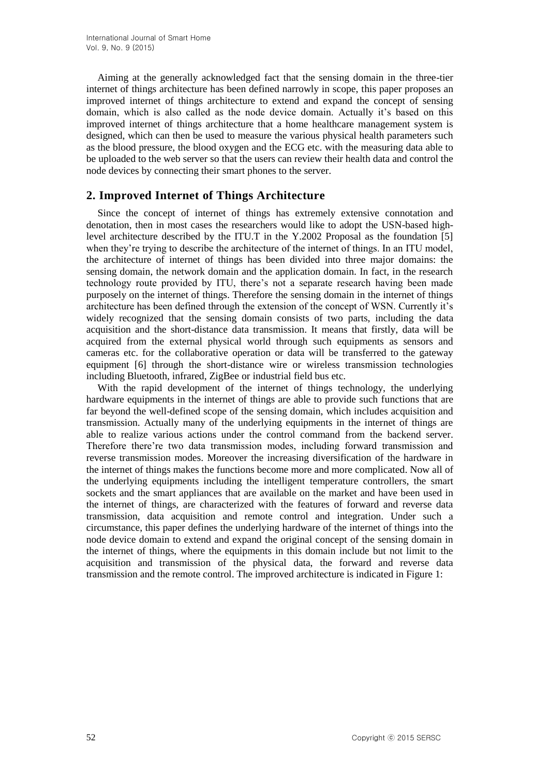Aiming at the generally acknowledged fact that the sensing domain in the three-tier internet of things architecture has been defined narrowly in scope, this paper proposes an improved internet of things architecture to extend and expand the concept of sensing domain, which is also called as the node device domain. Actually it's based on this improved internet of things architecture that a home healthcare management system is designed, which can then be used to measure the various physical health parameters such as the blood pressure, the [blood](http://dict.youdao.com/w/blood/) [oxygen](http://dict.youdao.com/w/oxygen/) and the ECG etc. with the measuring data able to be uploaded to the web server so that the users can review their health data and control the node devices by connecting their smart phones to the server.

## **2. Improved Internet of Things Architecture**

Since the concept of internet of things has extremely extensive [connotation](http://dict.youdao.com/search?q=connotation&keyfrom=E2Ctranslation) [and](http://dict.youdao.com/w/and/) [denotation,](http://dict.youdao.com/w/denotation/) then in most cases the researchers would like to adopt the USN-based highlevel architecture described by the ITU.T in the Y.2002 Proposal as the foundation [5] when they're trying to describe the architecture of the internet of things. In an ITU model, the architecture of internet of things has been divided into three major domains: the sensing domain, the network domain and the application domain. In fact, in the research technology route provided by ITU, there's not a separate research having been made purposely on the internet of things. Therefore the sensing domain in the internet of things architecture has been defined through the extension of the concept of WSN. Currently it's widely recognized that the sensing domain consists of two parts, including the data acquisition and the short-distance data transmission. It means that firstly, data will be acquired from the external physical world through such equipments as sensors and [cameras](http://dict.youdao.com/w/camera/) etc. for the collaborative operation or data will be transferred to the gateway equipment [6] through the short-distance wire or wireless transmission technologies including Bluetooth, infrared, ZigBee or [industrial](http://dict.youdao.com/w/industrial/) [field](http://dict.youdao.com/w/field/) [bus](http://dict.youdao.com/w/bus/) etc.

With the rapid development of the internet of things technology, the underlying hardware equipments in the internet of things are able to provide such functions that are far beyond the well-defined scope of the sensing domain, which includes acquisition and transmission. Actually many of the underlying equipments in the internet of things are able to realize various actions under the control command from the backend server. Therefore there're two data transmission modes, including forward transmission and reverse transmission modes. Moreover the increasing diversification of the hardware in the internet of things makes the functions become more and more complicated. Now all of the underlying equipments including the intelligent [temperature](http://dict.youdao.com/w/temperature/) [controllers](http://dict.youdao.com/w/controller/), the smart sockets and the smart appliances that are available on the market and have been used in the internet of things, are characterized with the features of forward and reverse data transmission, data acquisition and remote control and integration. Under such a circumstance, this paper defines the underlying hardware of the internet of things into the node device domain to extend and expand the original concept of the sensing domain in the internet of things, where the equipments in this domain include but not limit to the acquisition and transmission of the physical data, the forward and reverse data transmission and the remote control. The improved architecture is indicated in Figure 1: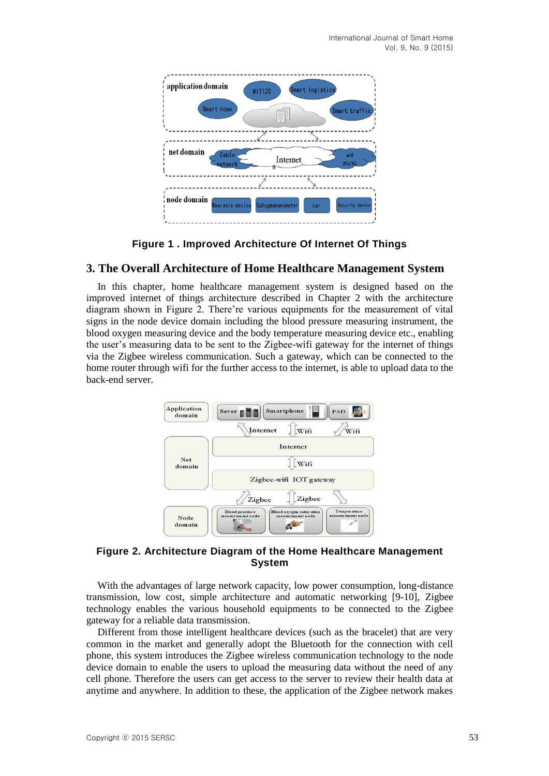

**Figure 1 . Improved Architecture Of Internet Of Things**

## **3. The Overall Architecture of Home Healthcare Management System**

In this chapter, home healthcare management system is designed based on the improved internet of things architecture described in Chapter 2 with the architecture diagram shown in Figure 2. There're various equipments for the measurement of vital signs in the node device domain including the blood pressure measuring instrument, the blood oxygen measuring device and the body temperature measuring device etc., enabling the user's measuring data to be sent to the Zigbee-wifi gateway for the internet of things via the Zigbee wireless communication. Such a gateway, which can be connected to the home router through wifi for the further access to the internet, is able to upload data to the back-end server.



### **Figure 2. Architecture Diagram of the Home Healthcare Management System**

With the advantages of large network capacity, low power consumption, long-distance transmission, low cost, simple architecture and automatic networking [9-10], Zigbee technology enables the various household equipments to be connected to the Zigbee gateway for a reliable data transmission.

Different from those intelligent healthcare devices (such as the bracelet) that are very common in the market and generally adopt the Bluetooth for the connection with cell phone, this system introduces the Zigbee wireless communication technology to the node device domain to enable the users to upload the measuring data without the need of any cell phone. Therefore the users can get access to the server to review their health data at anytime and anywhere. In addition to these, the application of the Zigbee network makes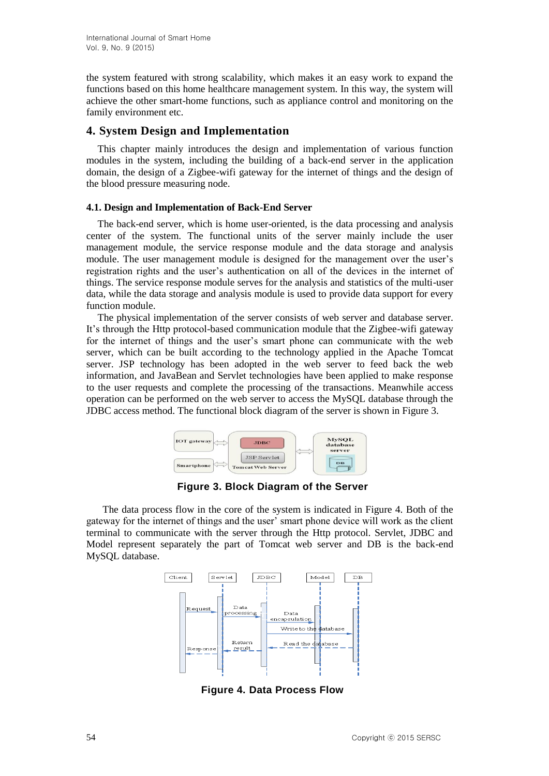the system featured with strong scalability, which makes it an easy work to expand the functions based on this home healthcare management system. In this way, the system will achieve the other smart-home functions, such as appliance control and monitoring on the family environment etc.

## **4. System Design and Implementation**

This chapter mainly introduces the design and implementation of various function modules in the system, including the building of a back-end server in the application domain, the design of a Zigbee-wifi gateway for the internet of things and the design of the blood pressure measuring node.

#### **4.1. Design and Implementation of Back-End Server**

The back-end server, which is home user-oriented, is the data processing and analysis center of the system. The functional units of the server mainly include the user management module, the service response module and the data storage and analysis module. The user management module is designed for the management over the user's registration rights and the user's authentication on all of the devices in the internet of things. The service response module serves for the analysis and statistics of the multi-user data, while the data storage and analysis module is used to provide data support for every function module.

The [physical](http://dict.youdao.com/w/physical/) [implementation](http://dict.youdao.com/w/implementation/) of the server consists of web server and database server. It's through the Http protocol-based communication module that the Zigbee-wifi gateway for the internet of things and the user's smart phone can communicate with the web server, which can be built according to the technology applied in the Apache Tomcat server. JSP technology has been adopted in the web server to feed back the web information, and JavaBean and Servlet technologies have been applied to make response to the user requests and complete the processing of the transactions. Meanwhile access operation can be performed on the web server to access the MySQL database through the JDBC access method. The functional block diagram of the server is shown in Figure 3.



 **Figure 3. Block Diagram of the Server**

 The data process flow in the core of the system is indicated in Figure 4. Both of the gateway for the internet of things and the user' smart phone device will work as the client terminal to communicate with the server through the Http protocol. Servlet, JDBC and Model represent separately the part of Tomcat web server and DB is the back-end MySQL database.



 **Figure 4. Data Process Flow**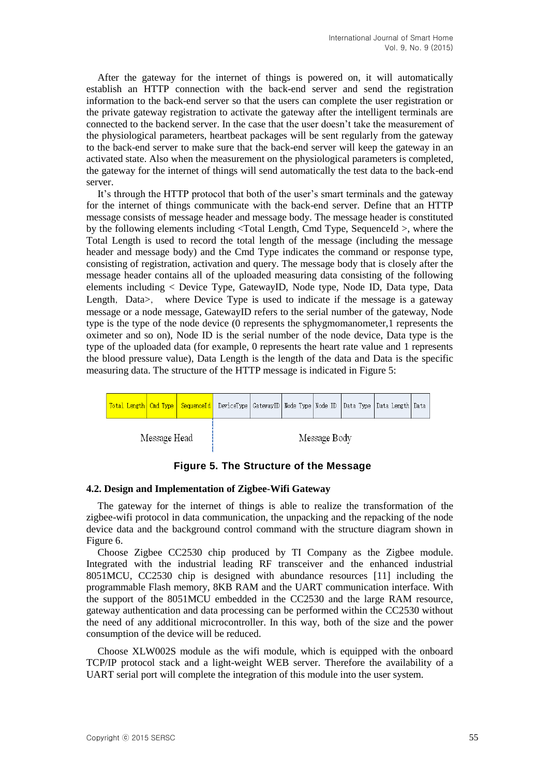After the gateway for the internet of things is powered on, it will automatically establish an HTTP connection with the back-end server and send the registration information to the back-end server so that the users can complete the user registration or the private gateway registration to activate the gateway after the intelligent terminals are connected to the backend server. In the case that the user doesn't take the measurement of the [physiological](http://dict.youdao.com/w/physiological/) [parameters](http://dict.youdao.com/w/parameter/), heartbeat packages will be sent regularly from the gateway to the back-end server to make sure that the back-end server will keep the gateway in an [activated](http://dict.youdao.com/w/activated/) [state.](http://dict.youdao.com/w/state/) Also when the measurement on the [physiological](http://dict.youdao.com/w/physiological/) [parameters](http://dict.youdao.com/w/parameter/) is completed, the gateway for the internet of things will send automatically the test data to the back-end server.

It's through the HTTP protocol that both of the user's smart terminals and the gateway for the internet of things communicate with the back-end server. Define that an HTTP message consists of message header and message body. The message header is constituted by the following elements including <Total Length, Cmd Type, SequenceId >, where the Total Length is used to record the total length of the message (including the message header and message body) and the Cmd Type indicates the command or response type, consisting of registration, activation and query. The message body that is closely after the message header contains all of the uploaded measuring data consisting of the following elements including < Device Type, GatewayID, Node type, Node ID, Data type, Data Length, Data>, where Device Type is used to indicate if the message is a gateway message or a node message, GatewayID refers to the serial number of the gateway, Node type is the type of the node device (0 represents the sphygmomanometer,1 represents the [oximeter](http://dict.youdao.com/w/oximeter/) and so on), Node ID is the serial number of the node device, Data type is the type of the uploaded data (for example, 0 represents the heart rate value and 1 represents the blood pressure value), Data Length is the length of the data and Data is the specific measuring data. The structure of the HTTP message is indicated in Figure 5:



 **Figure 5. The Structure of the Message**

#### **4.2. Design and Implementation of Zigbee-Wifi Gateway**

The gateway for the internet of things is able to realize the transformation of the zigbee-wifi protocol in data communication, the unpacking and the repacking of the node device data and the background control command with the structure diagram shown in Figure 6.

Choose Zigbee CC2530 chip produced by TI Company as the Zigbee module. Integrated with the industrial leading RF transceiver and the enhanced industrial 8051MCU, CC2530 chip is designed with abundance resources [11] including the programmable [Flash memory,](http://dict.youdao.com/w/flash_memory/) 8KB RAM and the UART communication interface. With the support of the 8051MCU embedded in the CC2530 and the large RAM resource, gateway authentication and data processing can be performed within the CC2530 without the need of any additional microcontroller. In this way, both of the size and the power consumption of the device will be reduced.

Choose XLW002S module as the wifi module, which is equipped with the onboard TCP/IP [protocol](http://dict.youdao.com/w/protocol/) [stack](http://dict.youdao.com/w/stack/) and a [light-weight](http://dict.youdao.com/w/light-weight/) WEB server. Therefore the availability of a UART [serial](http://dict.youdao.com/w/serial/) [port](http://dict.youdao.com/w/port/) will complete the integration of this module into the user system.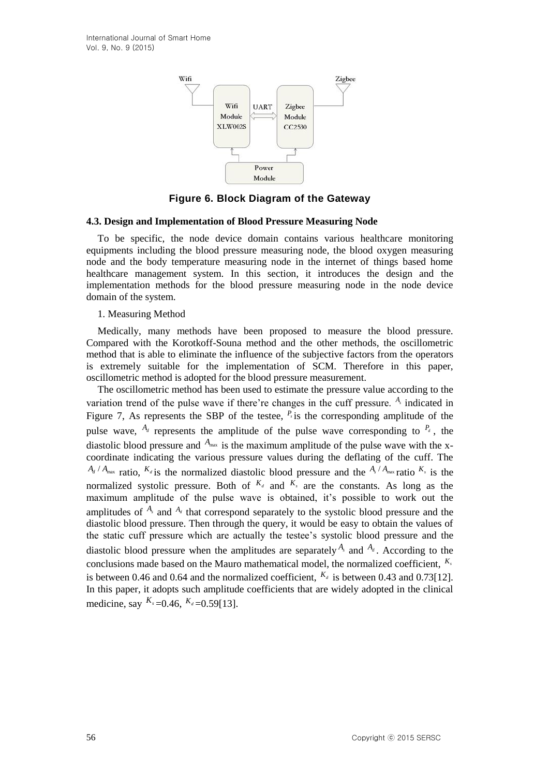

**Figure 6. Block Diagram of the Gateway**

#### **4.3. Design and Implementation of Blood Pressure Measuring Node**

To be specific, the node device domain contains various healthcare monitoring equipments including the blood pressure measuring node, the blood oxygen measuring node and the body temperature measuring node in the internet of things based home healthcare management system. In this section, it introduces the design and the implementation methods for the blood pressure measuring node in the node device domain of the system.

#### 1. Measuring Method

Medically, many methods have been proposed to measure the blood pressure. Compared with the Korotkoff-Souna method and the other methods, the oscillometric method that is able to [eliminate](http://dict.youdao.com/w/eliminate/) the influence of the [subjective](http://dict.youdao.com/w/subjective/) [factors](http://dict.youdao.com/w/factor/) from the operators is extremely suitable for the implementation of SCM. Therefore in this paper, oscillometric method is adopted for the blood pressure measurement.

The oscillometric method has been used to estimate the [pressure](http://dict.youdao.com/w/pressure/) [value](http://dict.youdao.com/w/value/) according to the variation trend of the pulse wave if there're changes in the cuff pressure.  $A<sub>s</sub>$  indicated in Figure 7, As represents the SBP of the testee,  $P_i$  is the corresponding amplitude of the pulse wave,  $A_d$  represents the amplitude of the pulse wave corresponding to  $P_d$ , the diastolic blood pressure and  $A_{\text{max}}$  is the maximum amplitude of the pulse wave with the xcoordinate indicating the various pressure values during the deflating of the cuff. The  $A_d / A_{\text{max}}$  ratio,  $K_d$  is the normalized diastolic blood pressure and the  $A_s / A_{\text{max}}$  ratio  $K_s$  is the normalized systolic pressure. Both of  $K_d$  and  $K_s$  are the constants. As long as the maximum amplitude of the pulse wave is obtained, it's possible to work out the amplitudes of  $A<sub>s</sub>$  and  $A<sub>d</sub>$  that correspond separately to the [systolic](http://dict.youdao.com/w/systolic/) blood [pressure](http://dict.youdao.com/w/pressure/) and the diastolic blood pressure. Then through the query, it would be easy to obtain the values of the static cuff pressure which are actually the testee's [systolic](http://dict.youdao.com/w/systolic/) blood [pressure](http://dict.youdao.com/w/pressure/) and the diastolic blood pressure when the amplitudes are separately  $A<sub>s</sub>$  and  $A<sub>d</sub>$ . According to the conclusions made based on the Mauro mathematical model, the normalized coefficient, *K s* is between 0.46 and 0.64 and the normalized coefficient,  $K_d$  is between 0.43 and 0.73[12]. In this paper, it adopts such amplitude coefficients that are widely adopted in the clinical medicine, say  $K_s = 0.46$ ,  $K_d = 0.59[13]$ .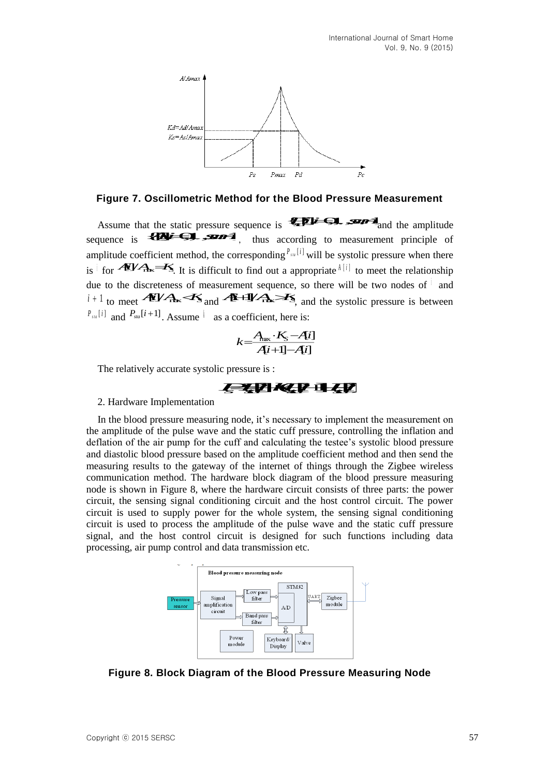

### **Figure 7. Oscillometric Method for the Blood Pressure Measurement**

Assume that the static pressure sequence is  $\mathcal{L}$   $\mathcal{L}$   $\mathcal{L}$   $\mathcal{L}$  and the amplitude sequence is  $\mathcal{L}$ ,  $\mathcal{L}$ , thus according to measurement principle of amplitude coefficient method, the corresponding  $P_{\text{ref}}[i]$  will be systolic pressure when there is  $\int$  for  $\mathscr{A}$ *M* $\rightarrow$   $\mathscr{A}$ <sub>*M*</sub> $\rightarrow$  *M*<sub> $\rightarrow$ </sub> *S*<sub>*M*</sub> is difficult to find out a appropriate  $\frac{A[i]}{i}$  to meet the relationship due to the discreteness of measurement sequence, so there will be two nodes of *i* and  $i+1$  to meet  $AVA_{\text{max}} \ll S_{\text{and}}$   $AVA_{\text{max}} \ll S_{\text{and}}$  the systolic pressure is between  $P_{\text{stat}}[i]$  and  $P_{\text{stat}}[i+1]$ . Assume  $\vert$  as a coefficient, here is:

$$
k = \frac{A_{\text{nx}} \cdot K_{\text{s}} - A[i]}{A[i+1] - A[i]}
$$

The relatively accurate systolic pressure is :

$$
\mathcal{L} = \mathcal{L}
$$

#### 2. Hardware Implementation

In the blood pressure measuring node, it's necessary to implement the measurement on the amplitude of the pulse wave and the static cuff pressure, controlling the [inflation](http://dict.youdao.com/w/inflation/) and deflation of the air pump for the cuff and calculating the testee's [systolic](http://dict.youdao.com/w/systolic/) blood [pressure](http://dict.youdao.com/w/pressure/) and diastolic blood pressure based on the amplitude coefficient method and then send the measuring results to the gateway of the internet of things through the Zigbee wireless communication method. The hardware block diagram of the blood pressure measuring node is shown in Figure 8, where the [hardware](http://dict.youdao.com/w/hardware/) [circuit](http://dict.youdao.com/w/circuit/) consists of three parts: the power circuit, the sensing signal conditioning circuit and the host control circuit. The power circuit is used to supply power for the whole system, the sensing signal conditioning circuit is used to process the amplitude of the pulse wave and the static cuff pressure signal, and the host control circuit is designed for such functions including data processing, air pump control and data transmission etc.



**Figure 8. Block Diagram of the Blood Pressure Measuring Node**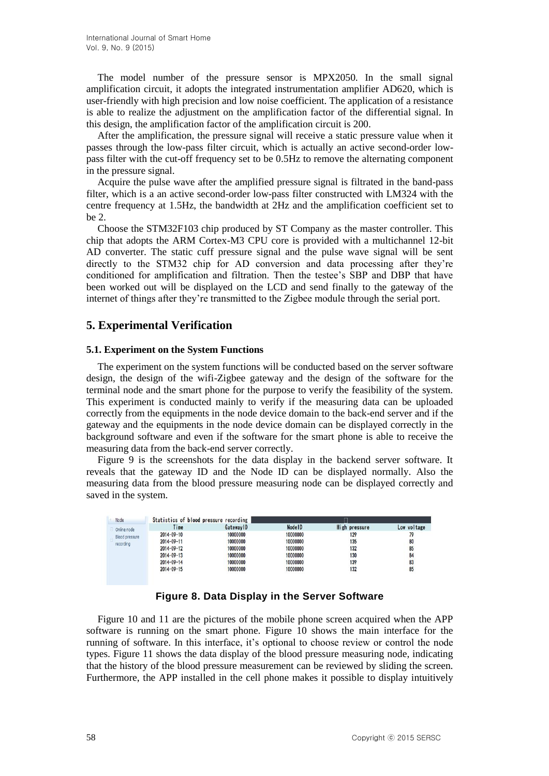The model number of the pressure sensor is MPX2050. In the small signal [amplification](http://dict.youdao.com/w/amplification/) [circuit,](http://dict.youdao.com/w/circuit/) it adopts the integrated [instrumentation](http://dict.youdao.com/w/instrumentation/) [amplifier](http://dict.youdao.com/w/amplifier/) AD620, which is user-friendly with high precision and low noise coefficient. The application of a resistance is able to realize the adjustment on the amplification factor of the [differential](http://dict.youdao.com/w/differential/) [signal.](http://dict.youdao.com/w/signal/) In this design, the amplification factor of the [amplification](http://dict.youdao.com/w/amplification/) [circuit](http://dict.youdao.com/w/circuit/) is 200.

After the amplification, the pressure signal will receive a static pressure value when it passes through the low-pass filter circuit, which is actually an active second-order lowpass filter with the [cut-off](http://dict.youdao.com/w/cut-off/) [frequency](http://dict.youdao.com/w/frequency/) set to be 0.5Hz to remove the alternating component in the pressure signal.

Acquire the pulse wave after the amplified pressure signal is filtrated in the band-pass filter, which is a an active second-order low-pass filter constructed with LM324 with the [centre](http://dict.youdao.com/w/center/) [frequency](http://dict.youdao.com/w/frequency/) at 1.5Hz, the [bandwidth](http://dict.youdao.com/w/bandwidth/) at 2Hz and the [amplification](http://dict.youdao.com/w/amplification/) [coefficient](http://dict.youdao.com/w/coefficient/) set to be 2.

Choose the STM32F103 chip produced by ST Company as the master controller. This chip that adopts the ARM Cortex-M3 CPU core is provided with a multichannel 12-bit AD converter. The static cuff pressure signal and the pulse wave signal will be sent directly to the STM32 chip for AD conversion and data processing after they're conditioned for amplification and filtration. Then the testee's SBP and DBP that have been worked out will be displayed on the LCD and send finally to the gateway of the internet of things after they're transmitted to the Zigbee module through the [serial](http://dict.youdao.com/w/serial/) [port.](http://dict.youdao.com/w/port/)

## **5. [Experimental](http://dict.youdao.com/w/experimental/) [Verification](http://dict.youdao.com/w/verification/)**

### **5.1. Experiment on the System Functions**

The experiment on the system functions will be conducted based on the server software design, the design of the wifi-Zigbee gateway and the design of the software for the terminal node and the smart phone for the purpose to verify the feasibility of the system. This experiment is conducted mainly to verify if the measuring data can be uploaded correctly from the equipments in the node device domain to the back-end server and if the gateway and the equipments in the node device domain can be displayed correctly in the background software and even if the software for the smart phone is able to receive the measuring data from the back-end server correctly.

Figure 9 is the screenshots for the data display in the backend server software. It reveals that the gateway ID and the Node ID can be displayed normally. Also the measuring data from the blood pressure measuring node can be displayed correctly and saved in the system.

| Node           | Statistics of blood pressure recording |            |          |               |             |
|----------------|----------------------------------------|------------|----------|---------------|-------------|
| Online node    | Time                                   | Gateway ID | Node ID  | High pressure | Low voltage |
| Blood pressure | $2014 - 09 - 10$                       | 10000000   | 10000000 | 129           | 79          |
| recording      | $2014 - 09 - 11$                       | 10000000   | 10000000 | 135           | 80          |
|                | $2014 - 09 - 12$                       | 10000000   | 10000000 | 132           | 85          |
|                | $2014 - 09 - 13$                       | 10000000   | 10000000 | 130           | 84          |
|                | $2014 - 09 - 14$                       | 10000000   | 10000000 | 139           | 83          |
|                | $2014 - 09 - 15$                       | 10000000   | 10000000 | 132           | 85          |

## **Figure 8. Data Display in the Server Software**

Figure 10 and 11 are the pictures of the mobile phone screen acquired when the APP software is running on the smart phone. Figure 10 shows the main interface for the running of software. In this interface, it's optional to choose review or control the node types. Figure 11 shows the data display of the blood pressure measuring node, indicating that the history of the blood pressure measurement can be reviewed by sliding the screen. Furthermore, the APP installed in the cell phone makes it possible to display intuitively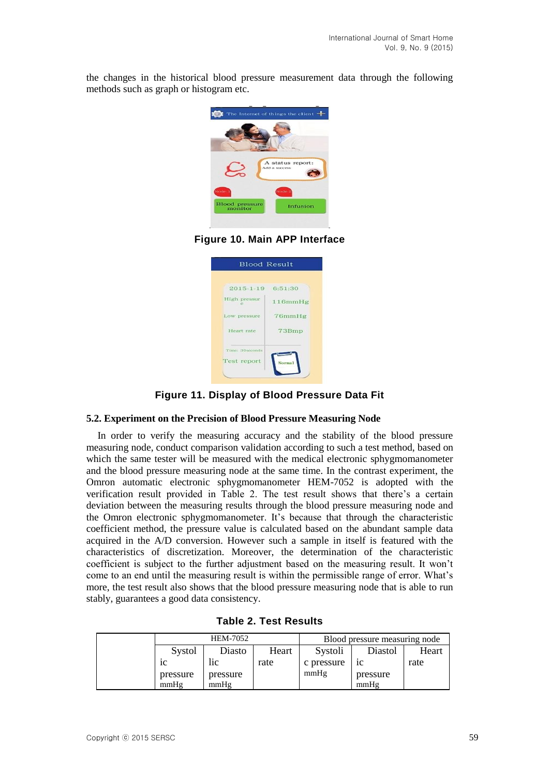the changes in the historical blood pressure measurement data through the following methods such as graph or histogram etc.



## **Figure 10. Main APP Interface**

| 2015-1-19 6:51:30 |            |
|-------------------|------------|
| High pressur<br>o | $116mm$ Hg |
| Low pressure      | 76mmHg     |
| Heart rate        | 73Bmp      |
| Time: 30seconds   |            |
| Test report       | Normal     |

**Figure 11. Display of Blood Pressure Data Fit**

#### **5.2. Experiment on the Precision of Blood Pressure Measuring Node**

In order to verify the measuring accuracy and the stability of the blood pressure measuring node, conduct [comparison](http://dict.youdao.com/w/comparison/) [validation](http://dict.youdao.com/w/validation/) according to such a test method, based on which the same tester will be measured with the medical electronic sphygmomanometer and the blood pressure measuring node at the same time. In the [contrast](http://dict.youdao.com/w/contrast/) [experiment,](http://dict.youdao.com/w/experiment/) the Omron automatic electronic sphygmomanometer HEM-7052 is adopted with the [verification](http://dict.youdao.com/w/verification/) [result](http://dict.youdao.com/w/result/) provided in Table 2. The test result shows that there's a certain deviation between the measuring results through the blood pressure measuring node and the Omron electronic sphygmomanometer. It's because that through the characteristic coefficient method, the pressure value is calculated based on the abundant sample data acquired in the A/D conversion. However such a sample in itself is featured with the characteristics of discretization. Moreover, the determination of the characteristic coefficient is subject to the further adjustment based on the measuring result. It won't come to an end until the measuring result is within the permissible range of error. What's more, the test result also shows that the blood pressure measuring node that is able to run stably, guarantees a good [data](http://dict.youdao.com/w/data/) [consistency.](http://dict.youdao.com/w/consistency/)

| <b>HEM-7052</b> |          |       | Blood pressure measuring node |          |       |
|-----------------|----------|-------|-------------------------------|----------|-------|
| Systol          | Diasto   | Heart | Systoli                       | Diastol  | Heart |
| 1C              | lic      | rate  | c pressure                    | 1C       | rate  |
| pressure        | pressure |       | mmHg                          | pressure |       |
| mmHg            | mmHg     |       |                               | $mm$ Hg  |       |

| <b>Table 2. Test Results</b> |
|------------------------------|
|------------------------------|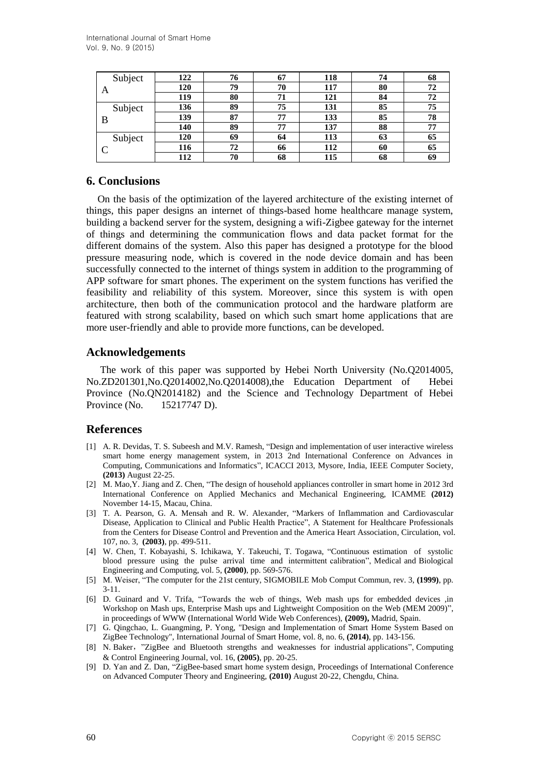| Subject | 122 | 76 | 67 | 118 | 74 | 68 |
|---------|-----|----|----|-----|----|----|
| Α       | 120 | 79 | 70 | 117 | 80 | 72 |
|         | 119 | 80 | 71 | 121 | 84 | 72 |
| Subject | 136 | 89 | 75 | 131 | 85 | 75 |
| В       | 139 | 87 | 77 | 133 | 85 | 78 |
|         | 140 | 89 | 77 | 137 | 88 | 77 |
| Subject | 120 | 69 | 64 | 113 | 63 | 65 |
|         | 116 | 72 | 66 | 112 | 60 | 65 |
|         | 112 | 70 | 68 | 115 | 68 | 69 |

#### **6. Conclusions**

On the basis of the optimization of the layered architecture of the existing internet of things, this paper designs an internet of things-based home healthcare manage system, building a backend server for the system, designing a wifi-Zigbee gateway for the internet of things and determining the communication flows and data packet format for the different domains of the system. Also this paper has designed a prototype for the blood pressure measuring node, which is covered in the node device domain and has been successfully connected to the internet of things system in addition to the programming of APP software for smart phones. The experiment on the system functions has verified the feasibility and reliability of this system. Moreover, since this system is with open architecture, then both of the communication protocol and the hardware platform are featured with strong scalability, based on which such smart home applications that are more user-friendly and able to provide more functions, can be developed.

#### **Acknowledgements**

The work of this paper was supported by Hebei North University (No.Q2014005, No.ZD201301,No.Q2014002,No.Q2014008),the Education Department of Hebei Province (No.QN2014182) and the Science and Technology Department of Hebei Province (No. 15217747 D).

#### **References**

- [1] A. R. Devidas, T. S. Subeesh and M.V. Ramesh, "Design and implementation of user interactive wireless smart home energy management system, in 2013 2nd International Conference on Advances in Computing, Communications and Informatics", ICACCI 2013, Mysore, India, IEEE Computer Society, **(2013)** August 22-25.
- [2] M. Mao,Y. Jiang and Z. Chen, "The design of household appliances controller in smart home in 2012 3rd International Conference on Applied Mechanics and Mechanical Engineering, ICAMME **(2012)** November 14-15, Macau, China.
- [3] T. A. Pearson, G. A. Mensah and R. W. Alexander, "Markers of Inflammation and Cardiovascular Disease, Application to Clinical and Public Health Practice", A Statement for Healthcare Professionals from the Centers for Disease Control and Prevention and the America Heart Association, Circulation, vol. 107, no. 3, **(2003)**, pp. 499-511.
- [4] W. Chen, T. Kobayashi, S. Ichikawa, Y. Takeuchi, T. Togawa, "Continuous estimation of systolic blood pressure using the pulse arrival time and intermittent calibration", Medical and Biological Engineering and Computing, vol. 5, **(2000)**, pp. 569-576.
- [5] M. Weiser, "The computer for the 21st century, SIGMOBILE Mob Comput Commun, rev. 3, **(1999)**, pp. 3-11.
- [6] D. Guinard and V. Trifa, "Towards the web of things, Web mash ups for embedded devices ,in Workshop on Mash ups, Enterprise Mash ups and Lightweight Composition on the Web (MEM 2009)", in proceedings of WWW (International World Wide Web Conferences), **(2009),** Madrid, Spain.
- [7] G. Qingchao, L. Guangming, P. Yong, "Design and Implementation of Smart Home System Based on ZigBee Technology", International Journal of Smart Home, vol. 8, no. 6, **(2014)**, pp. 143-156.
- [8] N. Baker, "ZigBee and Bluetooth strengths and weaknesses for industrial applications", Computing & Control Engineering Journal, vol. 16, **(2005)**, pp. 20-25.
- [9] D. Yan and Z. Dan, "ZigBee-based smart home system design, Proceedings of International Conference on Advanced Computer Theory and Engineering, **(2010)** August 20-22, Chengdu, China.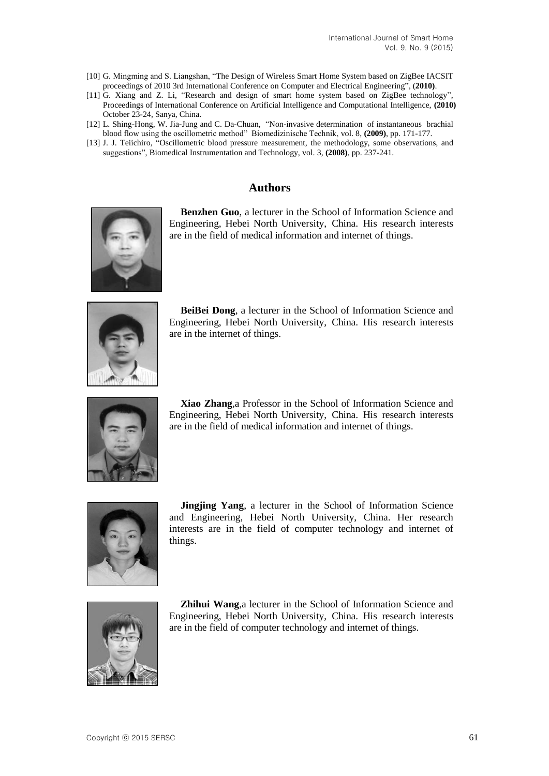- [10] G. Mingming and S. Liangshan, "The Design of Wireless Smart Home System based on ZigBee IACSIT proceedings of 2010 3rd International Conference on Computer and Electrical Engineering", (**2010)**.
- [11] G. Xiang and Z. Li, "Research and design of smart home system based on ZigBee technology", Proceedings of International Conference on Artificial Intelligence and Computational Intelligence, **(2010)** October 23-24, Sanya, China.
- [12] L. Shing-Hong, W. Jia-Jung and C. Da-Chuan, "Non-invasive determination of instantaneous brachial blood flow using the oscillometric method" Biomedizinische Technik, vol. 8, **(2009)**, pp. 171-177.
- [13] J. J. Teiichiro, "Oscillometric blood pressure measurement, the methodology, some observations, and suggestions", Biomedical Instrumentation and Technology, vol. 3, **(2008)**, pp. 237-241.

### **Authors**



**Benzhen Guo**, a lecturer in the School of Information Science and Engineering, Hebei North University, China. His research interests are in the field of medical information and internet of things.



**BeiBei Dong**, a lecturer in the School of Information Science and Engineering, Hebei North University, China. His research interests are in the internet of things.



**Xiao Zhang**,a Professor in the School of Information Science and Engineering, Hebei North University, China. His research interests are in the field of medical information and internet of things.



**Jingjing Yang**, a lecturer in the School of Information Science and Engineering, Hebei North University, China. Her research interests are in the field of computer technology and internet of things.



**Zhihui Wang**,a lecturer in the School of Information Science and Engineering, Hebei North University, China. His research interests are in the field of computer technology and internet of things.